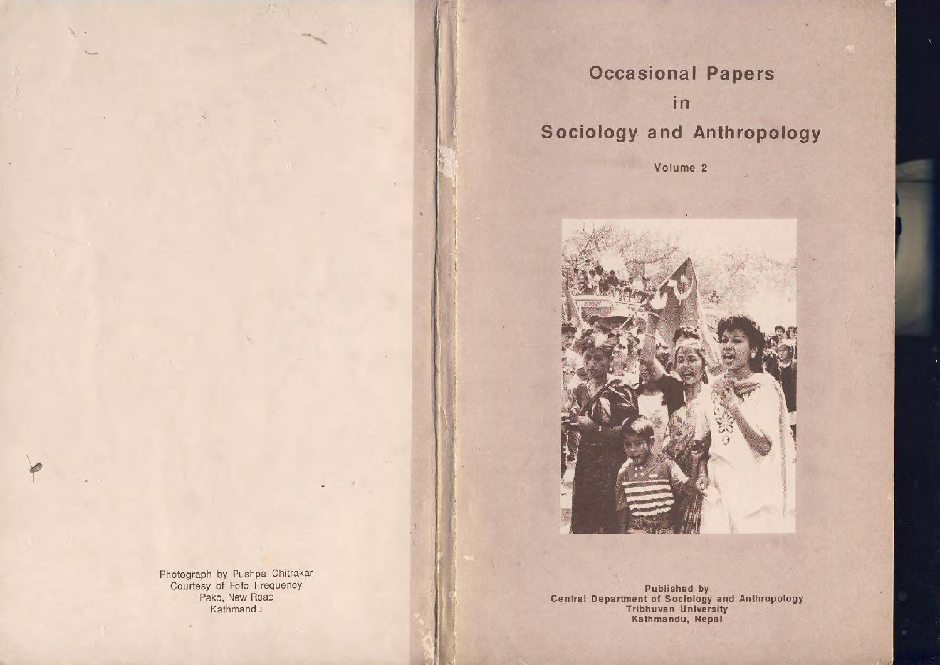## Occasional Papers in Sociology and Anthropology

Volume 2



Photograph by Pushpa Chilrakar Courtesy of Foto Frequency Pako, New Road Kathmandu

Published by Central Department of Sociology and Anthropology Trlbhuvan University Kathmandu, Nepal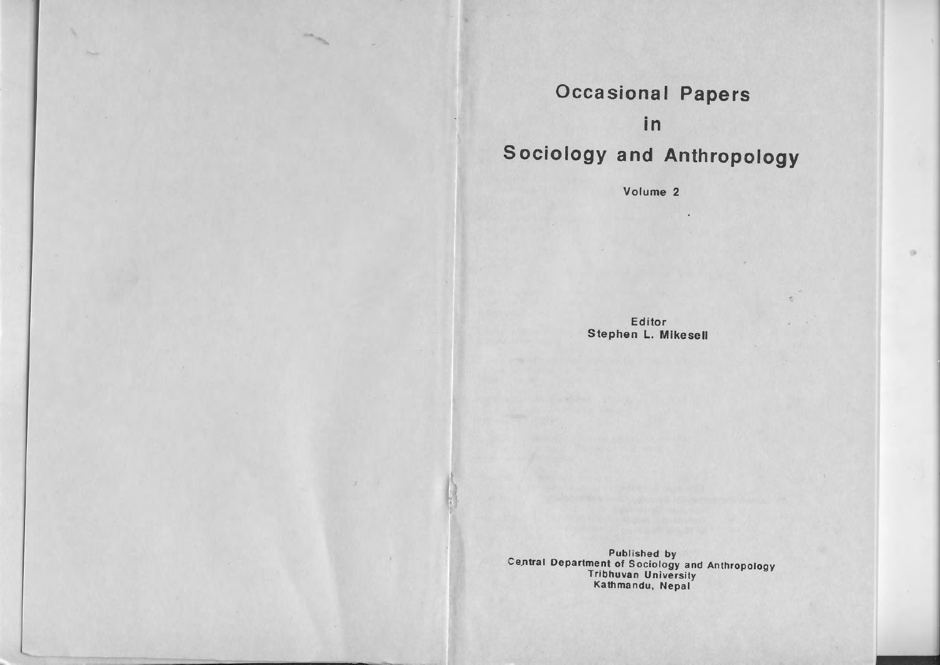### Occasional Papers

### in

# Sociology and Anthropology

Volume 2

Editor Stephen L. Mikesell

Published by<br>Central Department of Sociology and Anthropology<br>Tribhuvan University Kalhmandu, Nepal